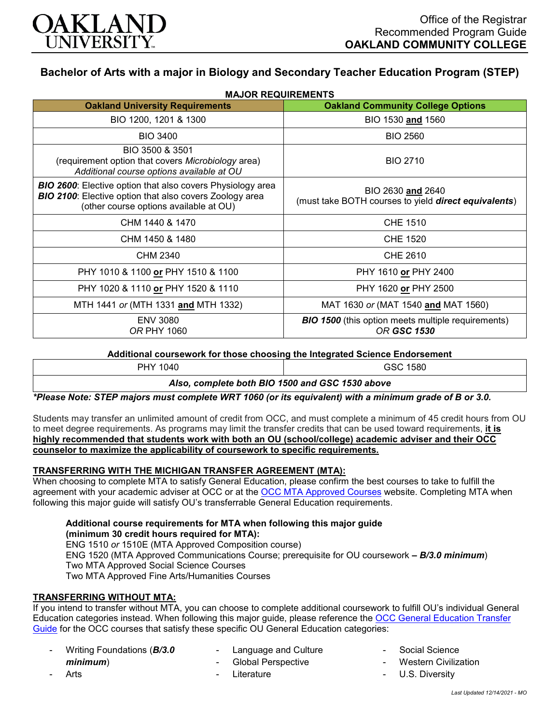

# **Bachelor of Arts with a major in Biology and Secondary Teacher Education Program (STEP)**

| <b>MAJOR REQUIREMENTS</b><br><b>Oakland University Requirements</b>                                                                                                           | <b>Oakland Community College Options</b>                                          |
|-------------------------------------------------------------------------------------------------------------------------------------------------------------------------------|-----------------------------------------------------------------------------------|
|                                                                                                                                                                               |                                                                                   |
| BIO 1200, 1201 & 1300                                                                                                                                                         | BIO 1530 and 1560                                                                 |
| <b>BIO 3400</b>                                                                                                                                                               | <b>BIO 2560</b>                                                                   |
| BIO 3500 & 3501<br>(requirement option that covers Microbiology area)<br>Additional course options available at OU                                                            | <b>BIO 2710</b>                                                                   |
| <b>BIO 2600:</b> Elective option that also covers Physiology area<br><b>BIO 2100:</b> Elective option that also covers Zoology area<br>(other course options available at OU) | BIO 2630 and 2640<br>(must take BOTH courses to yield <b>direct equivalents</b> ) |
| CHM 1440 & 1470                                                                                                                                                               | CHE 1510                                                                          |
| CHM 1450 & 1480                                                                                                                                                               | <b>CHE 1520</b>                                                                   |
| CHM 2340                                                                                                                                                                      | CHE 2610                                                                          |
| PHY 1010 & 1100 or PHY 1510 & 1100                                                                                                                                            | PHY 1610 or PHY 2400                                                              |
| PHY 1020 & 1110 or PHY 1520 & 1110                                                                                                                                            | PHY 1620 or PHY 2500                                                              |
| MTH 1441 or (MTH 1331 and MTH 1332)                                                                                                                                           | MAT 1630 or (MAT 1540 and MAT 1560)                                               |
| <b>ENV 3080</b><br>OR PHY 1060                                                                                                                                                | <b>BIO 1500</b> (this option meets multiple requirements)<br><b>OR GSC 1530</b>   |

### **Additional coursework for those choosing the Integrated Science Endorsement**

| PHY 1040                                        | GSC 1580 |
|-------------------------------------------------|----------|
| Also, complete both BIO 1500 and GSC 1530 above |          |

*\*Please Note: STEP majors must complete WRT 1060 (or its equivalent) with a minimum grade of B or 3.0.*

Students may transfer an unlimited amount of credit from OCC, and must complete a minimum of 45 credit hours from OU to meet degree requirements. As programs may limit the transfer credits that can be used toward requirements, **it is highly recommended that students work with both an OU (school/college) academic adviser and their OCC counselor to maximize the applicability of coursework to specific requirements.**

### **TRANSFERRING WITH THE MICHIGAN TRANSFER AGREEMENT (MTA):**

When choosing to complete MTA to satisfy General Education, please confirm the best courses to take to fulfill the agreement with your academic adviser at OCC or at the [OCC MTA Approved Courses](http://catalog.oaklandcc.edu/graduation-requirements/michigan-transfer-agreement/) website. Completing MTA when following this major guide will satisfy OU's transferrable General Education requirements.

**Additional course requirements for MTA when following this major guide (minimum 30 credit hours required for MTA):** ENG 1510 *or* 1510E (MTA Approved Composition course) ENG 1520 (MTA Approved Communications Course; prerequisite for OU coursework *– B/3.0 minimum*) Two MTA Approved Social Science Courses

Two MTA Approved Fine Arts/Humanities Courses

# **TRANSFERRING WITHOUT MTA:**

If you intend to transfer without MTA, you can choose to complete additional coursework to fulfill OU's individual General Education categories instead. When following this major guide, please reference the [OCC General Education Transfer](https://www.oakland.edu/Assets/Oakland/program-guides/oakland-community-college/university-general-education-requirements/OCC%20Gen%20Ed.pdf)  [Guide](https://www.oakland.edu/Assets/Oakland/program-guides/oakland-community-college/university-general-education-requirements/OCC%20Gen%20Ed.pdf) for the OCC courses that satisfy these specific OU General Education categories:

- Writing Foundations (*B/3.0*
- Language and Culture
- Global Perspective
- **Literature**
- Social Science
- **Western Civilization**
- U.S. Diversity

*minimum*)